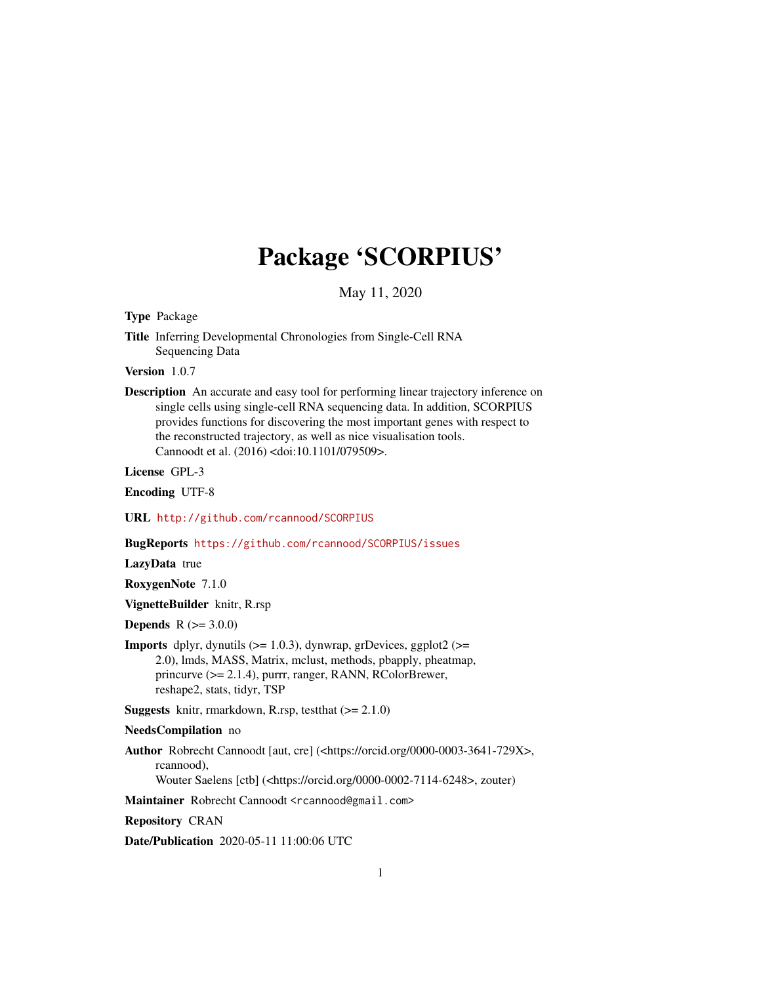# Package 'SCORPIUS'

May 11, 2020

<span id="page-0-0"></span>Type Package

Title Inferring Developmental Chronologies from Single-Cell RNA Sequencing Data

Version 1.0.7

Description An accurate and easy tool for performing linear trajectory inference on single cells using single-cell RNA sequencing data. In addition, SCORPIUS provides functions for discovering the most important genes with respect to the reconstructed trajectory, as well as nice visualisation tools. Cannoodt et al. (2016) <doi:10.1101/079509>.

License GPL-3

Encoding UTF-8

URL <http://github.com/rcannood/SCORPIUS>

BugReports <https://github.com/rcannood/SCORPIUS/issues>

LazyData true

RoxygenNote 7.1.0

VignetteBuilder knitr, R.rsp

**Depends**  $R (= 3.0.0)$ 

**Imports** dplyr, dynutils  $(>= 1.0.3)$ , dynwrap, grDevices, ggplot2  $(>=$ 2.0), lmds, MASS, Matrix, mclust, methods, pbapply, pheatmap, princurve (>= 2.1.4), purrr, ranger, RANN, RColorBrewer, reshape2, stats, tidyr, TSP

**Suggests** knitr, rmarkdown, R.rsp, test that  $(>= 2.1.0)$ 

NeedsCompilation no

Author Robrecht Cannoodt [aut, cre] (<https://orcid.org/0000-0003-3641-729X>, rcannood),

Wouter Saelens [ctb] (<https://orcid.org/0000-0002-7114-6248>, zouter)

Maintainer Robrecht Cannoodt <rcannood@gmail.com>

Repository CRAN

Date/Publication 2020-05-11 11:00:06 UTC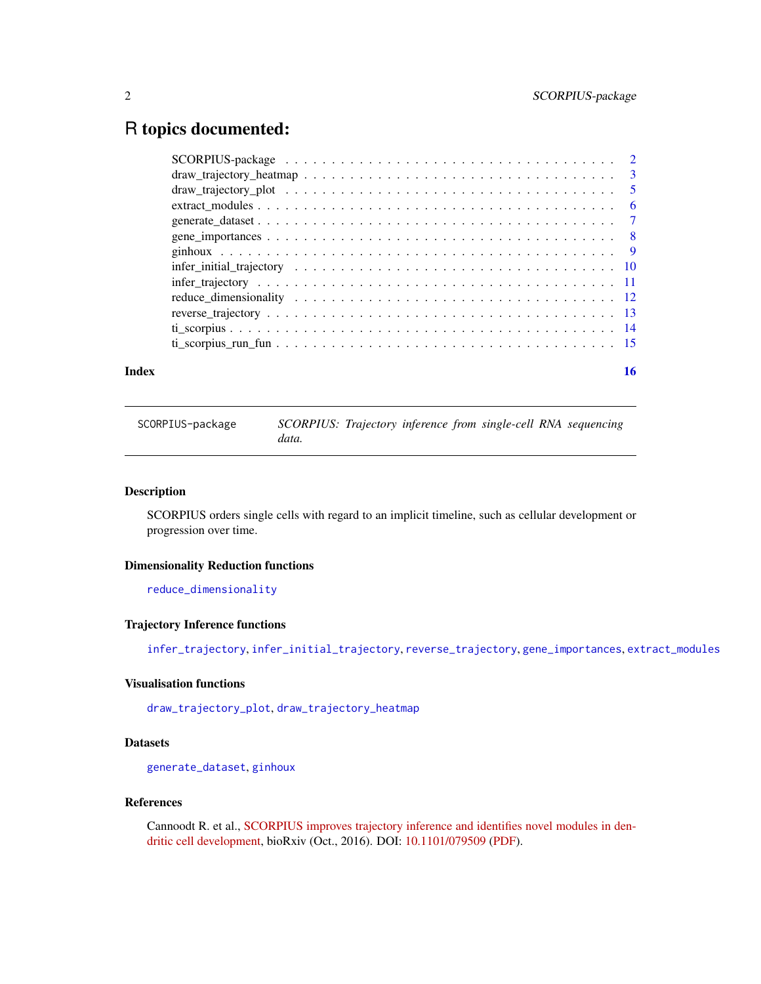# <span id="page-1-0"></span>R topics documented:

#### **Index** and the contract of the contract of the contract of the contract of the contract of the contract of the contract of the contract of the contract of the contract of the contract of the contract of the contract of th

SCORPIUS-package *SCORPIUS: Trajectory inference from single-cell RNA sequencing data.*

# <span id="page-1-1"></span>Description

SCORPIUS orders single cells with regard to an implicit timeline, such as cellular development or progression over time.

#### Dimensionality Reduction functions

[reduce\\_dimensionality](#page-11-1)

# Trajectory Inference functions

[infer\\_trajectory](#page-10-1), [infer\\_initial\\_trajectory](#page-9-1), [reverse\\_trajectory](#page-12-1), [gene\\_importances](#page-7-1), [extract\\_modules](#page-5-1)

# Visualisation functions

[draw\\_trajectory\\_plot](#page-4-1), [draw\\_trajectory\\_heatmap](#page-2-1)

# **Datasets**

[generate\\_dataset](#page-6-1), [ginhoux](#page-8-1)

#### References

Cannoodt R. et al., [SCORPIUS improves trajectory inference and identifies novel modules in den](https://www.biorxiv.org/content/early/2016/10/07/079509)[dritic cell development,](https://www.biorxiv.org/content/early/2016/10/07/079509) bioRxiv (Oct., 2016). DOI: [10.1101/079509](https://doi.org/10.1101/079509) [\(PDF\)](https://www.biorxiv.org/content/early/2016/10/07/079509.full.pdf).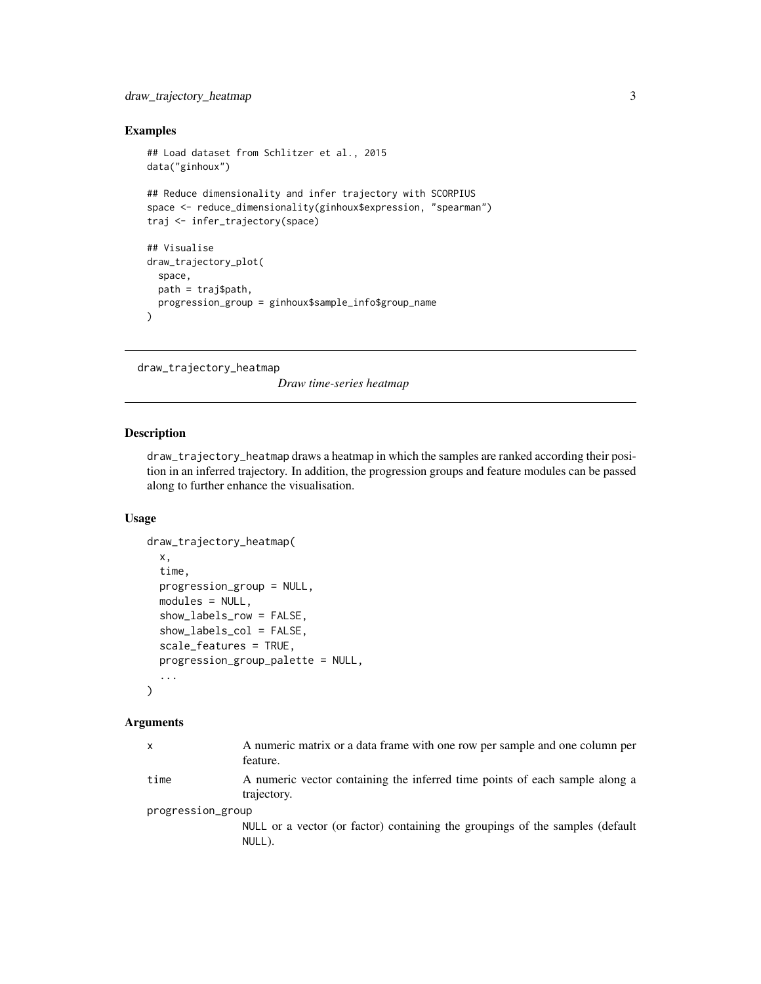# <span id="page-2-0"></span>Examples

```
## Load dataset from Schlitzer et al., 2015
data("ginhoux")
## Reduce dimensionality and infer trajectory with SCORPIUS
space <- reduce_dimensionality(ginhoux$expression, "spearman")
traj <- infer_trajectory(space)
## Visualise
draw_trajectory_plot(
  space,
  path = traj$path,
  progression_group = ginhoux$sample_info$group_name
\lambda
```

```
draw_trajectory_heatmap
```
*Draw time-series heatmap*

# Description

draw\_trajectory\_heatmap draws a heatmap in which the samples are ranked according their position in an inferred trajectory. In addition, the progression groups and feature modules can be passed along to further enhance the visualisation.

# Usage

```
draw_trajectory_heatmap(
  x,
  time,
 progression_group = NULL,
 modules = NULL,
  show_labels_row = FALSE,
  show_labels_col = FALSE,
  scale_features = TRUE,
 progression_group_palette = NULL,
  ...
\mathcal{L}
```
#### Arguments

| $\mathsf{x}$      | A numeric matrix or a data frame with one row per sample and one column per<br>feature.    |
|-------------------|--------------------------------------------------------------------------------------------|
| time              | A numeric vector containing the inferred time points of each sample along a<br>trajectory. |
| progression_group |                                                                                            |
|                   | NULL or a vector (or factor) containing the groupings of the samples (default<br>NULL).    |
|                   |                                                                                            |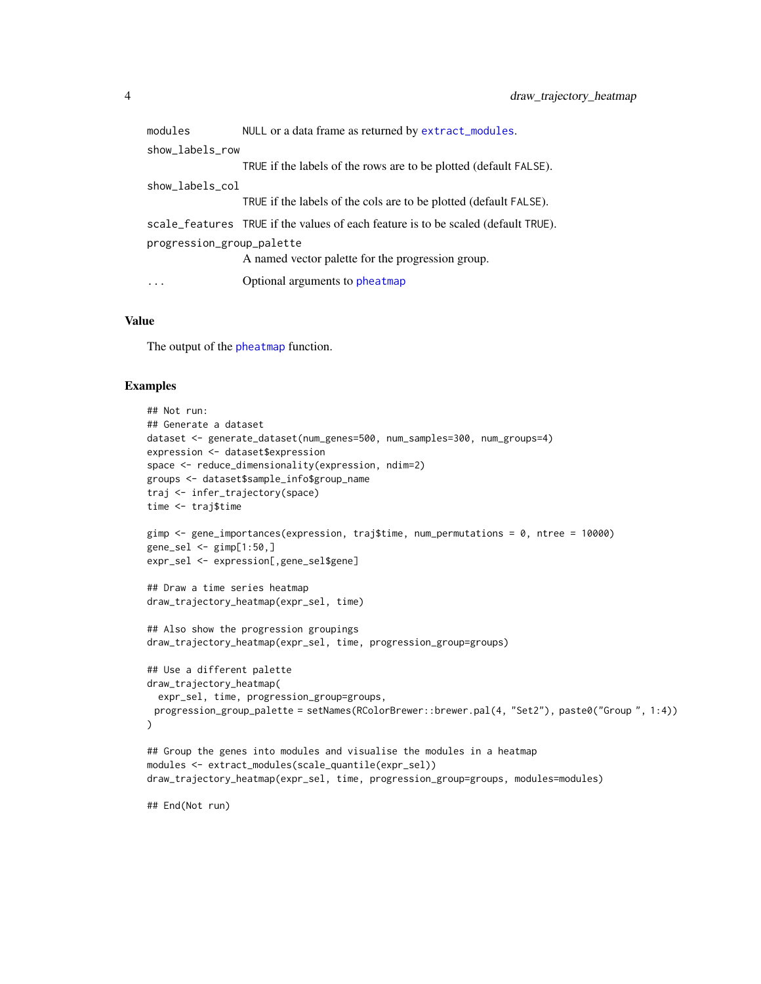<span id="page-3-0"></span>

| modules                   | NULL or a data frame as returned by extract_modules.                              |  |
|---------------------------|-----------------------------------------------------------------------------------|--|
| show_labels_row           |                                                                                   |  |
|                           | TRUE if the labels of the rows are to be plotted (default FALSE).                 |  |
| show_labels_col           |                                                                                   |  |
|                           | TRUE if the labels of the cols are to be plotted (default FALSE).                 |  |
|                           | scale_features TRUE if the values of each feature is to be scaled (default TRUE). |  |
| progression_group_palette |                                                                                   |  |
|                           | A named vector palette for the progression group.                                 |  |
| $\cdots$                  | Optional arguments to pheatmap                                                    |  |
|                           |                                                                                   |  |

#### Value

The output of the [pheatmap](#page-0-0) function.

#### Examples

```
## Not run:
## Generate a dataset
dataset <- generate_dataset(num_genes=500, num_samples=300, num_groups=4)
expression <- dataset$expression
space <- reduce_dimensionality(expression, ndim=2)
groups <- dataset$sample_info$group_name
traj <- infer_trajectory(space)
time <- traj$time
gimp <- gene_importances(expression, traj$time, num_permutations = 0, ntree = 10000)
gene_sel <- gimp[1:50,]
expr_sel <- expression[,gene_sel$gene]
## Draw a time series heatmap
draw_trajectory_heatmap(expr_sel, time)
## Also show the progression groupings
draw_trajectory_heatmap(expr_sel, time, progression_group=groups)
## Use a different palette
draw_trajectory_heatmap(
  expr_sel, time, progression_group=groups,
 progression_group_palette = setNames(RColorBrewer::brewer.pal(4, "Set2"), paste0("Group ", 1:4))
\mathcal{L}## Group the genes into modules and visualise the modules in a heatmap
modules <- extract_modules(scale_quantile(expr_sel))
draw_trajectory_heatmap(expr_sel, time, progression_group=groups, modules=modules)
```
## End(Not run)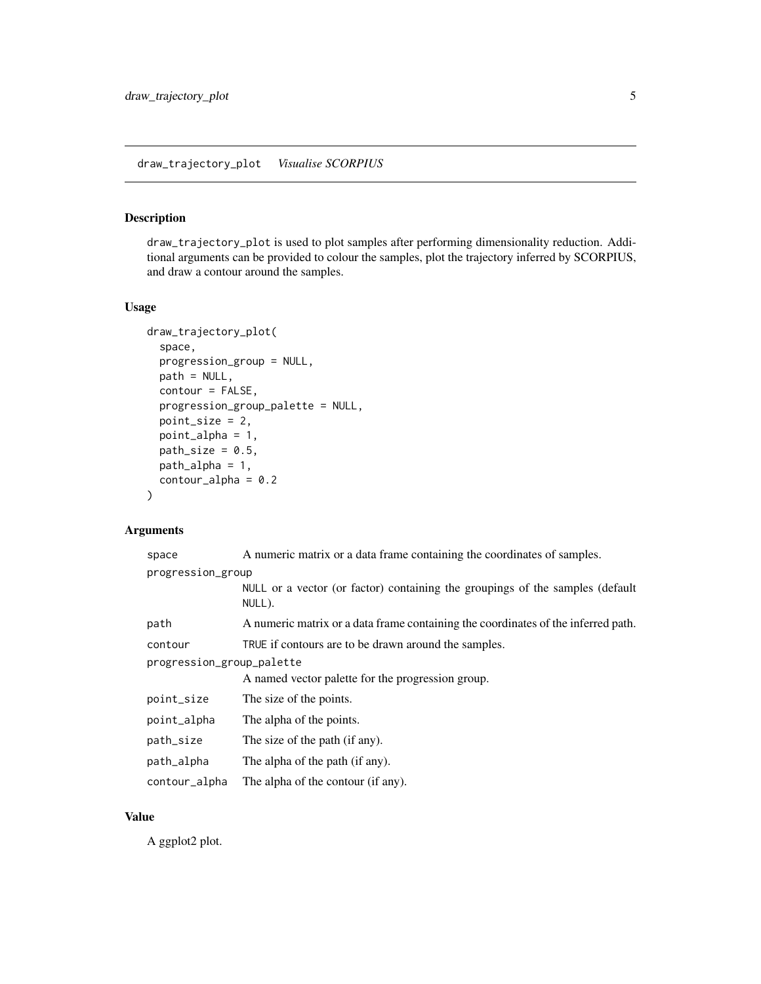# <span id="page-4-1"></span><span id="page-4-0"></span>Description

draw\_trajectory\_plot is used to plot samples after performing dimensionality reduction. Additional arguments can be provided to colour the samples, plot the trajectory inferred by SCORPIUS, and draw a contour around the samples.

# Usage

```
draw_trajectory_plot(
  space,
 progression_group = NULL,
 path = NULL,
 contour = FALSE,
  progression_group_palette = NULL,
 point_size = 2,
  point_alpha = 1,
 path\_size = 0.5,
 path_alpha = 1,
  contour_alpha = 0.2)
```
# Arguments

| space                     | A numeric matrix or a data frame containing the coordinates of samples.                 |  |
|---------------------------|-----------------------------------------------------------------------------------------|--|
| progression_group         |                                                                                         |  |
|                           | NULL or a vector (or factor) containing the groupings of the samples (default<br>NULL). |  |
| path                      | A numeric matrix or a data frame containing the coordinates of the inferred path.       |  |
| contour                   | TRUE if contours are to be drawn around the samples.                                    |  |
| progression_group_palette |                                                                                         |  |
|                           | A named vector palette for the progression group.                                       |  |
| point_size                | The size of the points.                                                                 |  |
| point_alpha               | The alpha of the points.                                                                |  |
| path_size                 | The size of the path (if any).                                                          |  |
| path_alpha                | The alpha of the path (if any).                                                         |  |
| contour_alpha             | The alpha of the contour (if any).                                                      |  |

#### Value

A ggplot2 plot.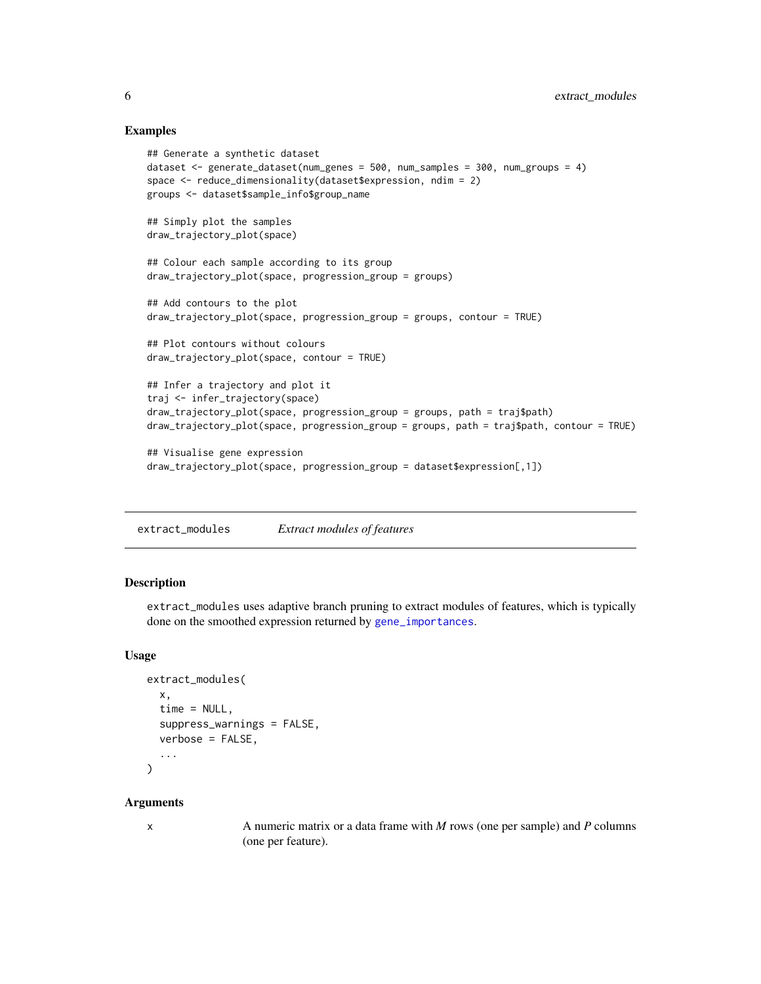#### Examples

```
## Generate a synthetic dataset
dataset <- generate_dataset(num_genes = 500, num_samples = 300, num_groups = 4)
space <- reduce_dimensionality(dataset$expression, ndim = 2)
groups <- dataset$sample_info$group_name
## Simply plot the samples
draw_trajectory_plot(space)
## Colour each sample according to its group
draw_trajectory_plot(space, progression_group = groups)
## Add contours to the plot
draw_trajectory_plot(space, progression_group = groups, contour = TRUE)
## Plot contours without colours
draw_trajectory_plot(space, contour = TRUE)
## Infer a trajectory and plot it
traj <- infer_trajectory(space)
draw_trajectory_plot(space, progression_group = groups, path = traj$path)
draw_trajectory_plot(space, progression_group = groups, path = traj$path, contour = TRUE)
## Visualise gene expression
draw_trajectory_plot(space, progression_group = dataset$expression[,1])
```
<span id="page-5-1"></span>extract\_modules *Extract modules of features*

#### Description

extract\_modules uses adaptive branch pruning to extract modules of features, which is typically done on the smoothed expression returned by [gene\\_importances](#page-7-1).

#### Usage

```
extract_modules(
  x,
  time = NULL,
  suppress_warnings = FALSE,
  verbose = FALSE,
  ...
)
```
#### Arguments

x A numeric matrix or a data frame with *M* rows (one per sample) and *P* columns (one per feature).

<span id="page-5-0"></span>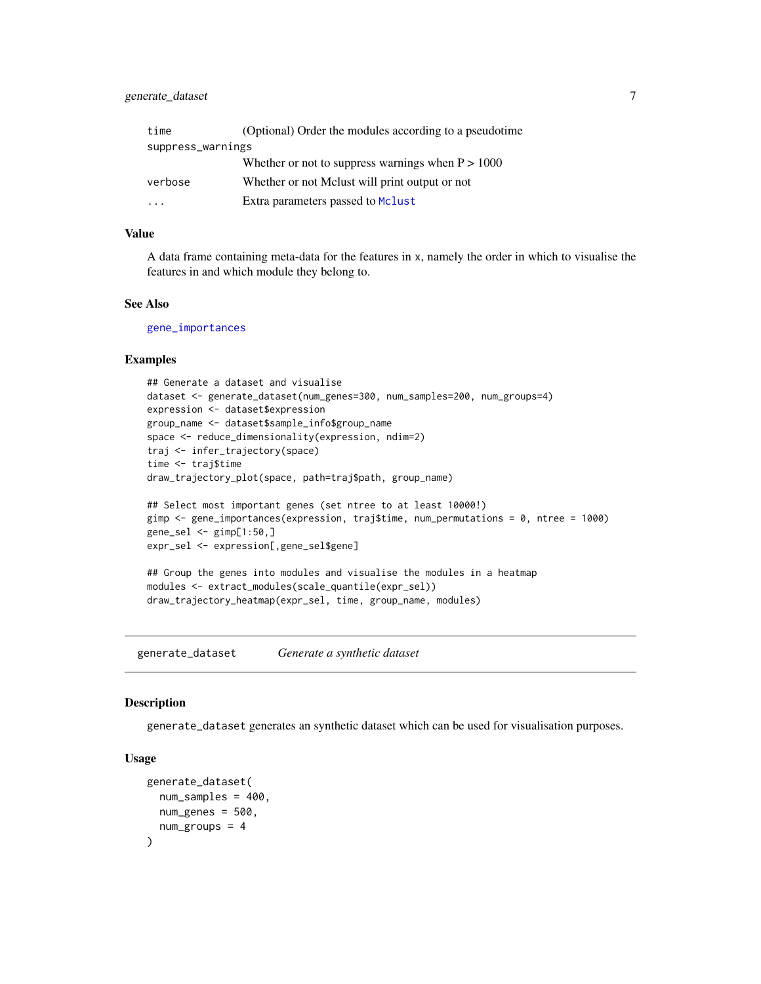# <span id="page-6-0"></span>generate\_dataset 7

| time              | (Optional) Order the modules according to a pseudotime |
|-------------------|--------------------------------------------------------|
| suppress_warnings |                                                        |
|                   | Whether or not to suppress warnings when $P > 1000$    |
| verbose           | Whether or not Mclust will print output or not         |
|                   | Extra parameters passed to Mclust                      |

# Value

A data frame containing meta-data for the features in x, namely the order in which to visualise the features in and which module they belong to.

#### See Also

[gene\\_importances](#page-7-1)

#### Examples

```
## Generate a dataset and visualise
dataset <- generate_dataset(num_genes=300, num_samples=200, num_groups=4)
expression <- dataset$expression
group_name <- dataset$sample_info$group_name
space <- reduce_dimensionality(expression, ndim=2)
traj <- infer_trajectory(space)
time <- traj$time
draw_trajectory_plot(space, path=traj$path, group_name)
## Select most important genes (set ntree to at least 10000!)
gimp <- gene_importances(expression, traj$time, num_permutations = 0, ntree = 1000)
gene_sel <- gimp[1:50,]
expr_sel <- expression[,gene_sel$gene]
## Group the genes into modules and visualise the modules in a heatmap
modules <- extract_modules(scale_quantile(expr_sel))
draw_trajectory_heatmap(expr_sel, time, group_name, modules)
```
<span id="page-6-1"></span>generate\_dataset *Generate a synthetic dataset*

# Description

generate\_dataset generates an synthetic dataset which can be used for visualisation purposes.

#### Usage

```
generate_dataset(
  num_samples = 400,
  num_genes = 500,
  num_groups = 4
)
```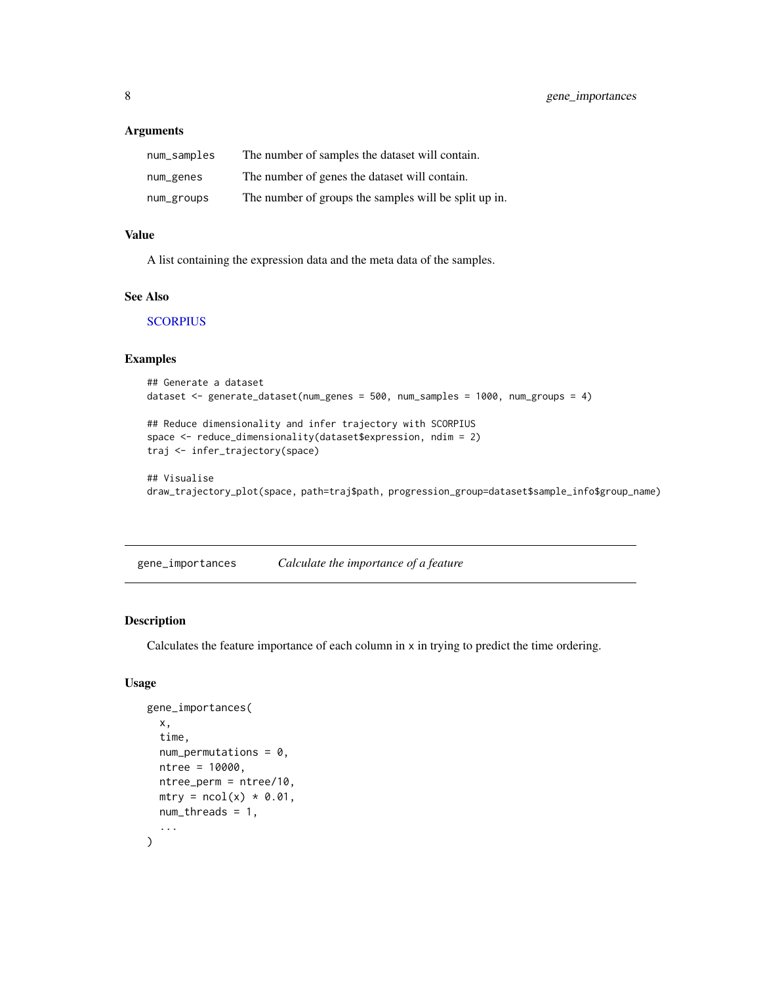#### <span id="page-7-0"></span>Arguments

| num_samples | The number of samples the dataset will contain.       |
|-------------|-------------------------------------------------------|
| num_genes   | The number of genes the dataset will contain.         |
| num_groups  | The number of groups the samples will be split up in. |

#### Value

A list containing the expression data and the meta data of the samples.

# See Also

**[SCORPIUS](#page-1-1)** 

# Examples

```
## Generate a dataset
dataset <- generate_dataset(num_genes = 500, num_samples = 1000, num_groups = 4)
```

```
## Reduce dimensionality and infer trajectory with SCORPIUS
space <- reduce_dimensionality(dataset$expression, ndim = 2)
traj <- infer_trajectory(space)
```

```
## Visualise
draw_trajectory_plot(space, path=traj$path, progression_group=dataset$sample_info$group_name)
```
<span id="page-7-1"></span>gene\_importances *Calculate the importance of a feature*

# Description

Calculates the feature importance of each column in x in trying to predict the time ordering.

# Usage

```
gene_importances(
  x,
  time,
 num\_permutations = 0,
 ntree = 10000,
 ntree_perm = ntree/10,
 mtry = ncol(x) * 0.01,
 num_threads = 1,
  ...
\mathcal{E}
```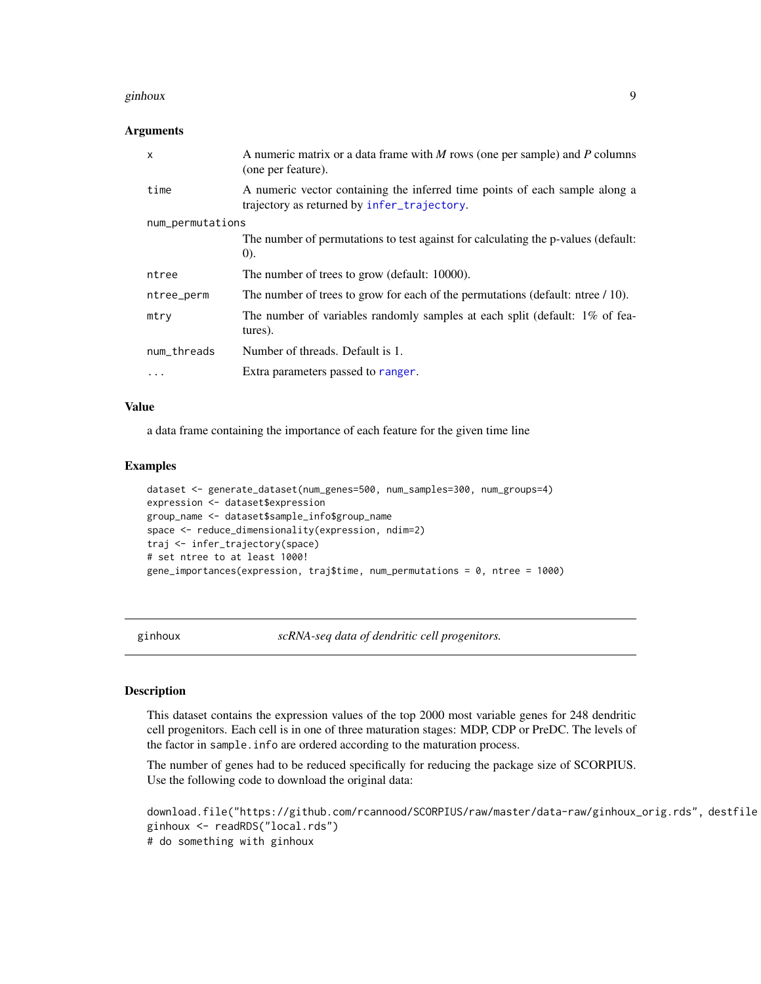#### <span id="page-8-0"></span>ginhoux **9**

#### Arguments

| $\mathsf{x}$     | A numeric matrix or a data frame with M rows (one per sample) and P columns<br>(one per feature).                          |  |
|------------------|----------------------------------------------------------------------------------------------------------------------------|--|
| time             | A numeric vector containing the inferred time points of each sample along a<br>trajectory as returned by infer_trajectory. |  |
| num_permutations |                                                                                                                            |  |
|                  | The number of permutations to test against for calculating the p-values (default:<br>(0).                                  |  |
| ntree            | The number of trees to grow (default: 10000).                                                                              |  |
| ntree_perm       | The number of trees to grow for each of the permutations (default: ntree / 10).                                            |  |
| mtry             | The number of variables randomly samples at each split (default: 1% of fea-<br>tures).                                     |  |
| num_threads      | Number of threads. Default is 1.                                                                                           |  |
| $\cdots$         | Extra parameters passed to ranger.                                                                                         |  |

#### Value

a data frame containing the importance of each feature for the given time line

#### Examples

```
dataset <- generate_dataset(num_genes=500, num_samples=300, num_groups=4)
expression <- dataset$expression
group_name <- dataset$sample_info$group_name
space <- reduce_dimensionality(expression, ndim=2)
traj <- infer_trajectory(space)
# set ntree to at least 1000!
gene_importances(expression, traj$time, num_permutations = 0, ntree = 1000)
```
<span id="page-8-1"></span>ginhoux *scRNA-seq data of dendritic cell progenitors.*

# **Description**

This dataset contains the expression values of the top 2000 most variable genes for 248 dendritic cell progenitors. Each cell is in one of three maturation stages: MDP, CDP or PreDC. The levels of the factor in sample.info are ordered according to the maturation process.

The number of genes had to be reduced specifically for reducing the package size of SCORPIUS. Use the following code to download the original data:

```
download.file("https://github.com/rcannood/SCORPIUS/raw/master/data-raw/ginhoux_orig.rds", destfile
ginhoux <- readRDS("local.rds")
# do something with ginhoux
```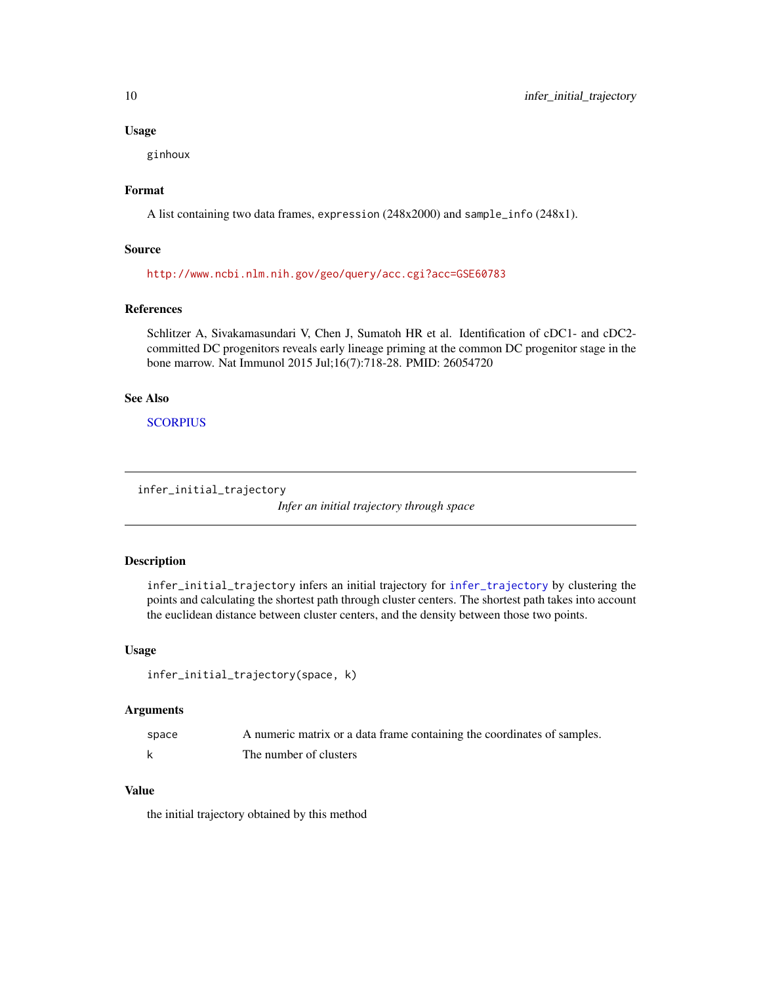#### Usage

ginhoux

#### Format

A list containing two data frames, expression (248x2000) and sample\_info (248x1).

#### Source

<http://www.ncbi.nlm.nih.gov/geo/query/acc.cgi?acc=GSE60783>

# References

Schlitzer A, Sivakamasundari V, Chen J, Sumatoh HR et al. Identification of cDC1- and cDC2 committed DC progenitors reveals early lineage priming at the common DC progenitor stage in the bone marrow. Nat Immunol 2015 Jul;16(7):718-28. PMID: 26054720

# See Also

**[SCORPIUS](#page-1-1)** 

```
infer_initial_trajectory
```
*Infer an initial trajectory through space*

# Description

infer\_initial\_trajectory infers an initial trajectory for [infer\\_trajectory](#page-10-1) by clustering the points and calculating the shortest path through cluster centers. The shortest path takes into account the euclidean distance between cluster centers, and the density between those two points.

#### Usage

```
infer_initial_trajectory(space, k)
```
# Arguments

| space | A numeric matrix or a data frame containing the coordinates of samples. |
|-------|-------------------------------------------------------------------------|
|       | The number of clusters                                                  |

#### Value

the initial trajectory obtained by this method

<span id="page-9-0"></span>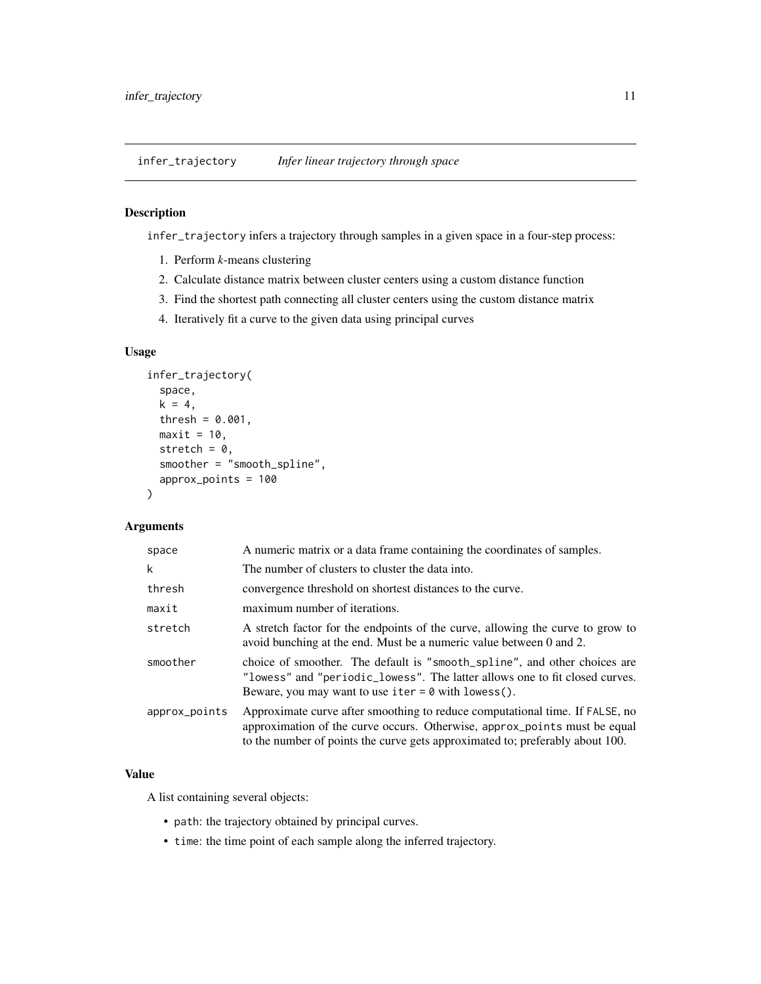<span id="page-10-1"></span><span id="page-10-0"></span>infer\_trajectory *Infer linear trajectory through space*

# Description

infer\_trajectory infers a trajectory through samples in a given space in a four-step process:

- 1. Perform *k*-means clustering
- 2. Calculate distance matrix between cluster centers using a custom distance function
- 3. Find the shortest path connecting all cluster centers using the custom distance matrix
- 4. Iteratively fit a curve to the given data using principal curves

# Usage

```
infer_trajectory(
  space,
 k = 4,
  thresh = 0.001,
 maxit = 10,
  stretch = 0,
  smoother = "smooth_spline",
  approx_points = 100
)
```
# Arguments

| space         | A numeric matrix or a data frame containing the coordinates of samples.                                                                                                                                                                    |  |
|---------------|--------------------------------------------------------------------------------------------------------------------------------------------------------------------------------------------------------------------------------------------|--|
| k             | The number of clusters to cluster the data into.                                                                                                                                                                                           |  |
| thresh        | convergence threshold on shortest distances to the curve.                                                                                                                                                                                  |  |
| maxit         | maximum number of iterations.                                                                                                                                                                                                              |  |
| stretch       | A stretch factor for the endpoints of the curve, allowing the curve to grow to<br>avoid bunching at the end. Must be a numeric value between 0 and 2.                                                                                      |  |
| smoother      | choice of smoother. The default is "smooth_spline", and other choices are<br>"lowess" and "periodic_lowess". The latter allows one to fit closed curves.<br>Beware, you may want to use iter $= 0$ with lowess().                          |  |
| approx_points | Approximate curve after smoothing to reduce computational time. If FALSE, no<br>approximation of the curve occurs. Otherwise, approx_points must be equal<br>to the number of points the curve gets approximated to; preferably about 100. |  |
|               |                                                                                                                                                                                                                                            |  |

### Value

A list containing several objects:

- path: the trajectory obtained by principal curves.
- time: the time point of each sample along the inferred trajectory.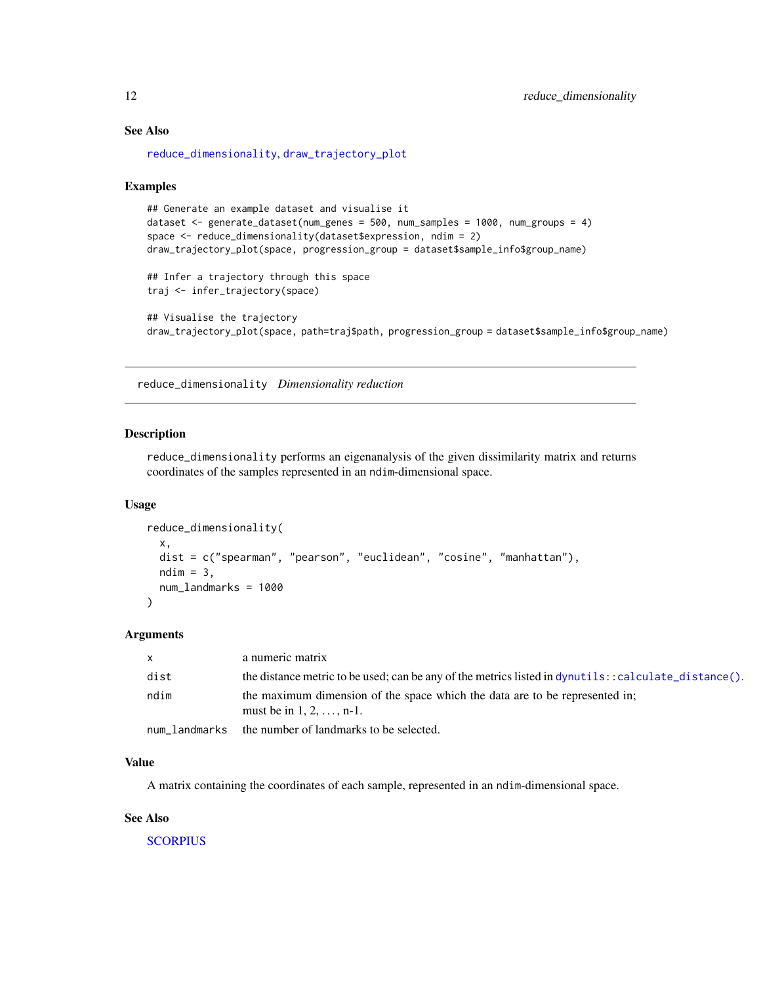#### See Also

[reduce\\_dimensionality](#page-11-1), [draw\\_trajectory\\_plot](#page-4-1)

#### Examples

```
## Generate an example dataset and visualise it
dataset <- generate_dataset(num_genes = 500, num_samples = 1000, num_groups = 4)
space <- reduce_dimensionality(dataset$expression, ndim = 2)
draw_trajectory_plot(space, progression_group = dataset$sample_info$group_name)
## Infer a trajectory through this space
traj <- infer_trajectory(space)
## Visualise the trajectory
draw_trajectory_plot(space, path=traj$path, progression_group = dataset$sample_info$group_name)
```
<span id="page-11-1"></span>reduce\_dimensionality *Dimensionality reduction*

# Description

reduce\_dimensionality performs an eigenanalysis of the given dissimilarity matrix and returns coordinates of the samples represented in an ndim-dimensional space.

#### Usage

```
reduce_dimensionality(
 x,
 dist = c("spearman", "pearson", "euclidean", "cosine", "manhattan"),
 ndim = 3,num_landmarks = 1000
)
```
#### Arguments

| $\times$ | a numeric matrix                                                                                                |
|----------|-----------------------------------------------------------------------------------------------------------------|
| dist     | the distance metric to be used; can be any of the metrics listed in dynutils: : calculate_distance().           |
| ndim     | the maximum dimension of the space which the data are to be represented in;<br>must be in $1, 2, \ldots, n-1$ . |
|          | num landmarks the number of landmarks to be selected.                                                           |

# Value

A matrix containing the coordinates of each sample, represented in an ndim-dimensional space.

#### See Also

**[SCORPIUS](#page-1-1)** 

<span id="page-11-0"></span>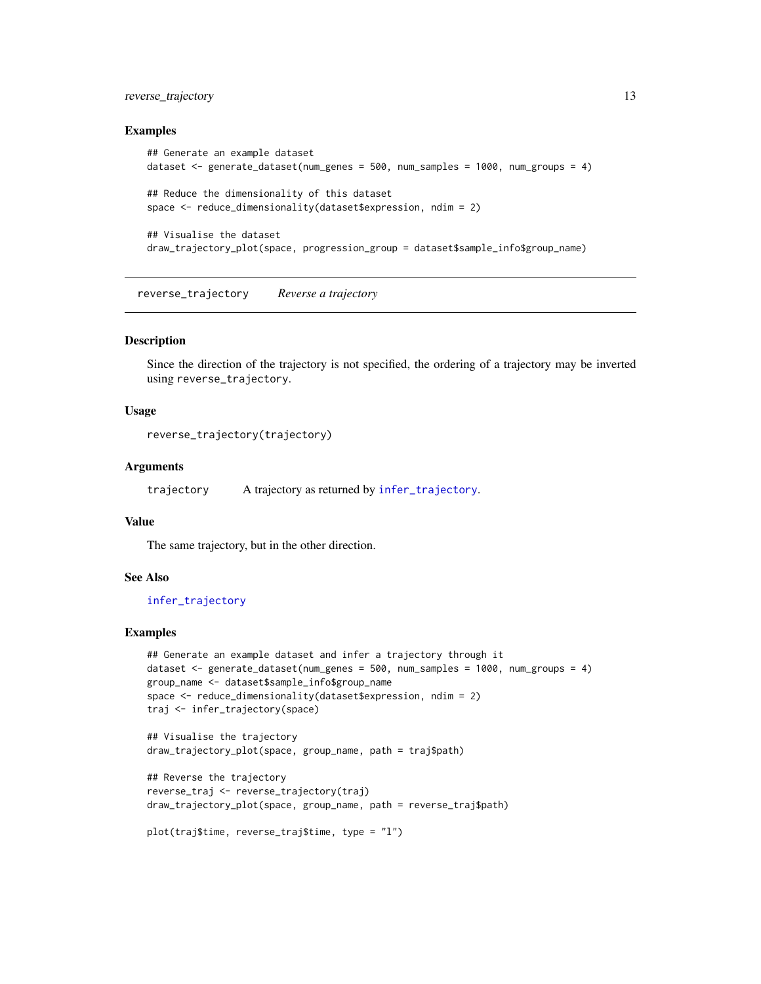# <span id="page-12-0"></span>reverse\_trajectory 13

#### Examples

```
## Generate an example dataset
dataset <- generate_dataset(num_genes = 500, num_samples = 1000, num_groups = 4)
## Reduce the dimensionality of this dataset
space <- reduce_dimensionality(dataset$expression, ndim = 2)
## Visualise the dataset
draw_trajectory_plot(space, progression_group = dataset$sample_info$group_name)
```
<span id="page-12-1"></span>reverse\_trajectory *Reverse a trajectory*

#### Description

Since the direction of the trajectory is not specified, the ordering of a trajectory may be inverted using reverse\_trajectory.

#### Usage

```
reverse_trajectory(trajectory)
```
#### Arguments

trajectory A trajectory as returned by [infer\\_trajectory](#page-10-1).

#### Value

The same trajectory, but in the other direction.

#### See Also

#### [infer\\_trajectory](#page-10-1)

#### Examples

```
## Generate an example dataset and infer a trajectory through it
dataset <- generate_dataset(num_genes = 500, num_samples = 1000, num_groups = 4)
group_name <- dataset$sample_info$group_name
space <- reduce_dimensionality(dataset$expression, ndim = 2)
traj <- infer_trajectory(space)
```

```
## Visualise the trajectory
draw_trajectory_plot(space, group_name, path = traj$path)
```

```
## Reverse the trajectory
reverse_traj <- reverse_trajectory(traj)
draw_trajectory_plot(space, group_name, path = reverse_traj$path)
```

```
plot(traj$time, reverse_traj$time, type = "l")
```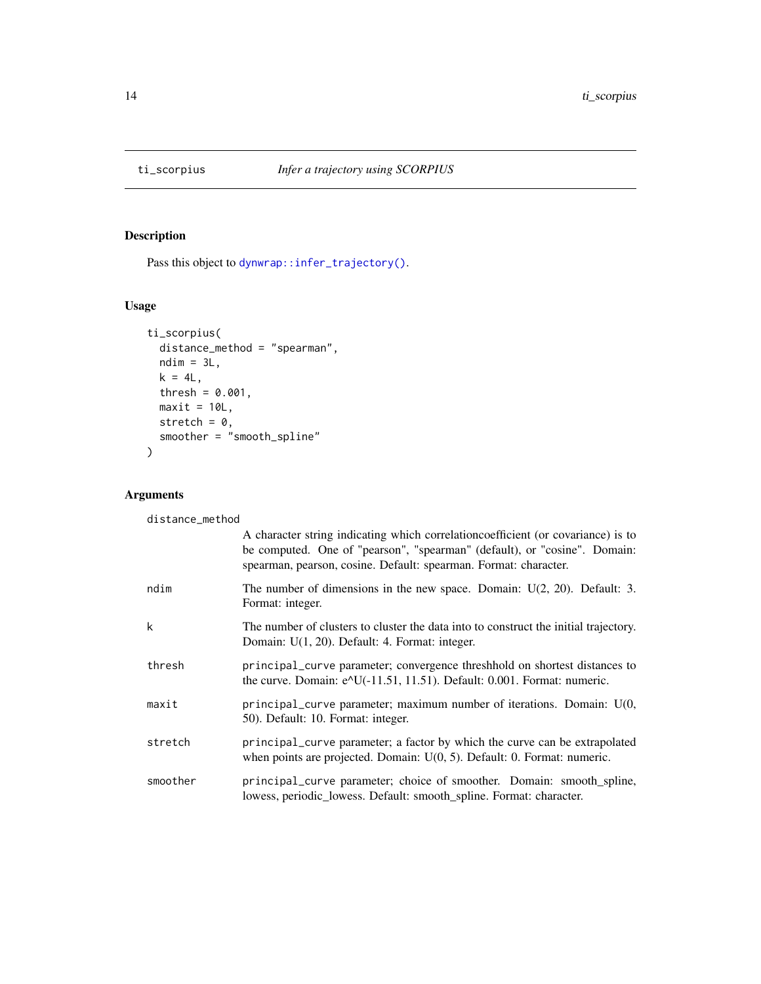<span id="page-13-0"></span>

# Description

Pass this object to [dynwrap::infer\\_trajectory\(\)](#page-0-0).

# Usage

```
ti_scorpius(
 distance_method = "spearman",
 ndim = 3L,k = 4L,
 thresh = 0.001,
 maxit = 10L,stretch = 0,smoother = "smooth_spline"
)
```
# Arguments

distance\_method

|          | A character string indicating which correlation coefficient (or covariance) is to<br>be computed. One of "pearson", "spearman" (default), or "cosine". Domain:<br>spearman, pearson, cosine. Default: spearman. Format: character. |
|----------|------------------------------------------------------------------------------------------------------------------------------------------------------------------------------------------------------------------------------------|
| ndim     | The number of dimensions in the new space. Domain: $U(2, 20)$ . Default: 3.<br>Format: integer.                                                                                                                                    |
| k        | The number of clusters to cluster the data into to construct the initial trajectory.<br>Domain: U(1, 20). Default: 4. Format: integer.                                                                                             |
| thresh   | principal_curve parameter; convergence threshhold on shortest distances to<br>the curve. Domain: e^U(-11.51, 11.51). Default: 0.001. Format: numeric.                                                                              |
| maxit    | principal_curve parameter; maximum number of iterations. Domain: U(0,<br>50). Default: 10. Format: integer.                                                                                                                        |
| stretch  | principal_curve parameter; a factor by which the curve can be extrapolated<br>when points are projected. Domain: $U(0, 5)$ . Default: 0. Format: numeric.                                                                          |
| smoother | principal_curve parameter; choice of smoother. Domain: smooth_spline,<br>lowess, periodic_lowess. Default: smooth_spline. Format: character.                                                                                       |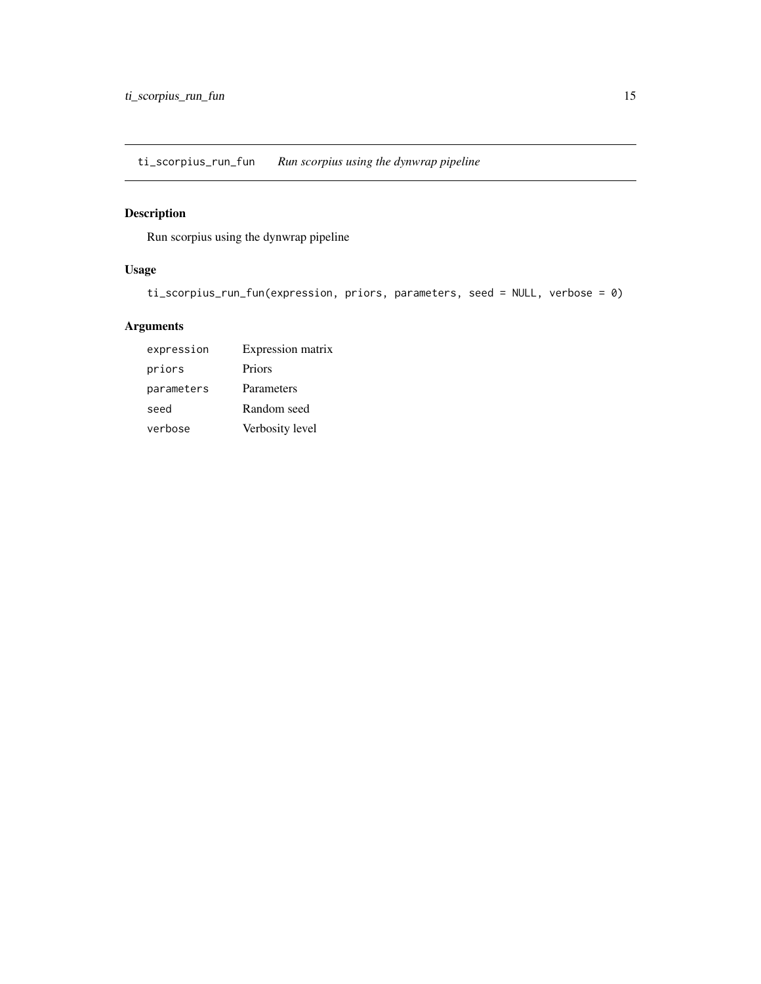<span id="page-14-0"></span>ti\_scorpius\_run\_fun *Run scorpius using the dynwrap pipeline*

# Description

Run scorpius using the dynwrap pipeline

# Usage

```
ti_scorpius_run_fun(expression, priors, parameters, seed = NULL, verbose = 0)
```
# Arguments

| expression | Expression matrix |
|------------|-------------------|
| priors     | Priors            |
| parameters | Parameters        |
| seed       | Random seed       |
| verbose    | Verbosity level   |